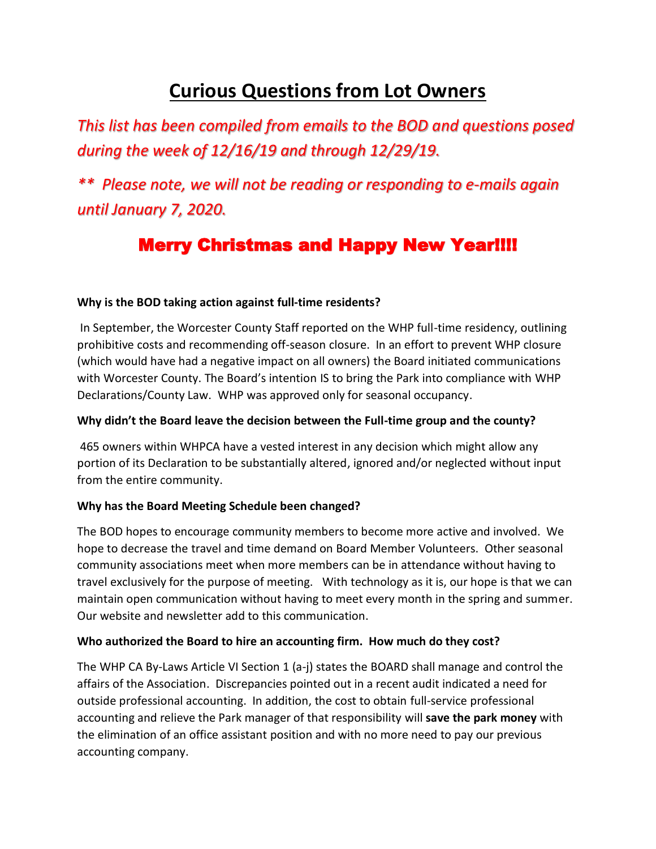# **Curious Questions from Lot Owners**

*This list has been compiled from emails to the BOD and questions posed during the week of 12/16/19 and through 12/29/19.*

*\*\* Please note, we will not be reading or responding to e-mails again until January 7, 2020.*

# Merry Christmas and Happy New Year!!!!

#### **Why is the BOD taking action against full-time residents?**

In September, the Worcester County Staff reported on the WHP full-time residency, outlining prohibitive costs and recommending off-season closure. In an effort to prevent WHP closure (which would have had a negative impact on all owners) the Board initiated communications with Worcester County. The Board's intention IS to bring the Park into compliance with WHP Declarations/County Law. WHP was approved only for seasonal occupancy.

#### **Why didn't the Board leave the decision between the Full-time group and the county?**

465 owners within WHPCA have a vested interest in any decision which might allow any portion of its Declaration to be substantially altered, ignored and/or neglected without input from the entire community.

# **Why has the Board Meeting Schedule been changed?**

The BOD hopes to encourage community members to become more active and involved. We hope to decrease the travel and time demand on Board Member Volunteers. Other seasonal community associations meet when more members can be in attendance without having to travel exclusively for the purpose of meeting. With technology as it is, our hope is that we can maintain open communication without having to meet every month in the spring and summer. Our website and newsletter add to this communication.

#### **Who authorized the Board to hire an accounting firm. How much do they cost?**

The WHP CA By-Laws Article VI Section 1 (a-j) states the BOARD shall manage and control the affairs of the Association. Discrepancies pointed out in a recent audit indicated a need for outside professional accounting. In addition, the cost to obtain full-service professional accounting and relieve the Park manager of that responsibility will **save the park money** with the elimination of an office assistant position and with no more need to pay our previous accounting company.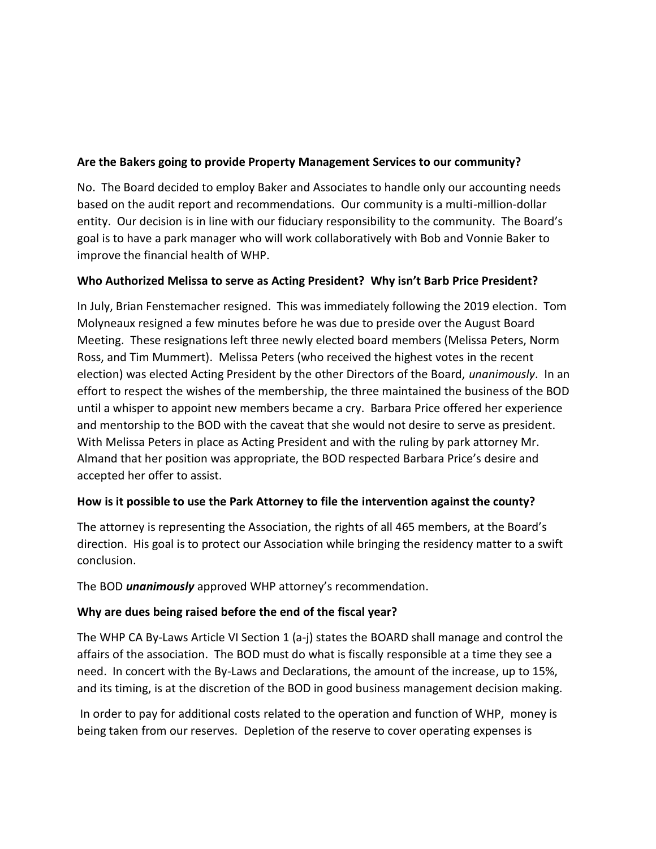# **Are the Bakers going to provide Property Management Services to our community?**

No. The Board decided to employ Baker and Associates to handle only our accounting needs based on the audit report and recommendations. Our community is a multi-million-dollar entity. Our decision is in line with our fiduciary responsibility to the community. The Board's goal is to have a park manager who will work collaboratively with Bob and Vonnie Baker to improve the financial health of WHP.

# **Who Authorized Melissa to serve as Acting President? Why isn't Barb Price President?**

In July, Brian Fenstemacher resigned. This was immediately following the 2019 election. Tom Molyneaux resigned a few minutes before he was due to preside over the August Board Meeting. These resignations left three newly elected board members (Melissa Peters, Norm Ross, and Tim Mummert). Melissa Peters (who received the highest votes in the recent election) was elected Acting President by the other Directors of the Board, *unanimously*. In an effort to respect the wishes of the membership, the three maintained the business of the BOD until a whisper to appoint new members became a cry. Barbara Price offered her experience and mentorship to the BOD with the caveat that she would not desire to serve as president. With Melissa Peters in place as Acting President and with the ruling by park attorney Mr. Almand that her position was appropriate, the BOD respected Barbara Price's desire and accepted her offer to assist.

# **How is it possible to use the Park Attorney to file the intervention against the county?**

The attorney is representing the Association, the rights of all 465 members, at the Board's direction. His goal is to protect our Association while bringing the residency matter to a swift conclusion.

The BOD *unanimously* approved WHP attorney's recommendation.

# **Why are dues being raised before the end of the fiscal year?**

The WHP CA By-Laws Article VI Section 1 (a-j) states the BOARD shall manage and control the affairs of the association. The BOD must do what is fiscally responsible at a time they see a need. In concert with the By-Laws and Declarations, the amount of the increase, up to 15%, and its timing, is at the discretion of the BOD in good business management decision making.

In order to pay for additional costs related to the operation and function of WHP, money is being taken from our reserves. Depletion of the reserve to cover operating expenses is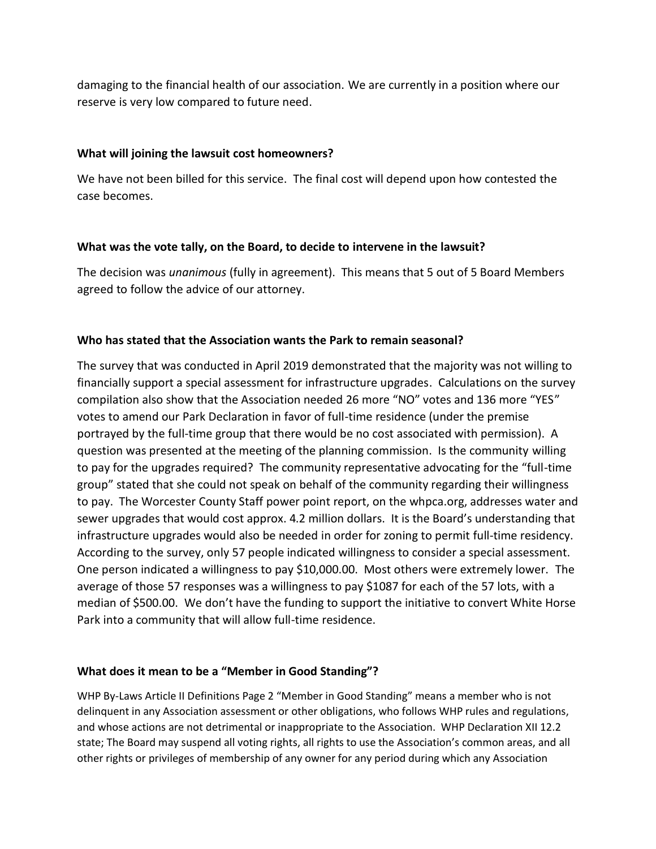damaging to the financial health of our association. We are currently in a position where our reserve is very low compared to future need.

#### **What will joining the lawsuit cost homeowners?**

We have not been billed for this service. The final cost will depend upon how contested the case becomes.

#### **What was the vote tally, on the Board, to decide to intervene in the lawsuit?**

The decision was *unanimous* (fully in agreement). This means that 5 out of 5 Board Members agreed to follow the advice of our attorney.

# **Who has stated that the Association wants the Park to remain seasonal?**

The survey that was conducted in April 2019 demonstrated that the majority was not willing to financially support a special assessment for infrastructure upgrades. Calculations on the survey compilation also show that the Association needed 26 more "NO" votes and 136 more "YES" votes to amend our Park Declaration in favor of full-time residence (under the premise portrayed by the full-time group that there would be no cost associated with permission). A question was presented at the meeting of the planning commission. Is the community willing to pay for the upgrades required? The community representative advocating for the "full-time group" stated that she could not speak on behalf of the community regarding their willingness to pay. The Worcester County Staff power point report, on the whpca.org, addresses water and sewer upgrades that would cost approx. 4.2 million dollars. It is the Board's understanding that infrastructure upgrades would also be needed in order for zoning to permit full-time residency. According to the survey, only 57 people indicated willingness to consider a special assessment. One person indicated a willingness to pay \$10,000.00. Most others were extremely lower. The average of those 57 responses was a willingness to pay \$1087 for each of the 57 lots, with a median of \$500.00. We don't have the funding to support the initiative to convert White Horse Park into a community that will allow full-time residence.

# **What does it mean to be a "Member in Good Standing"?**

WHP By-Laws Article II Definitions Page 2 "Member in Good Standing" means a member who is not delinquent in any Association assessment or other obligations, who follows WHP rules and regulations, and whose actions are not detrimental or inappropriate to the Association. WHP Declaration XII 12.2 state; The Board may suspend all voting rights, all rights to use the Association's common areas, and all other rights or privileges of membership of any owner for any period during which any Association